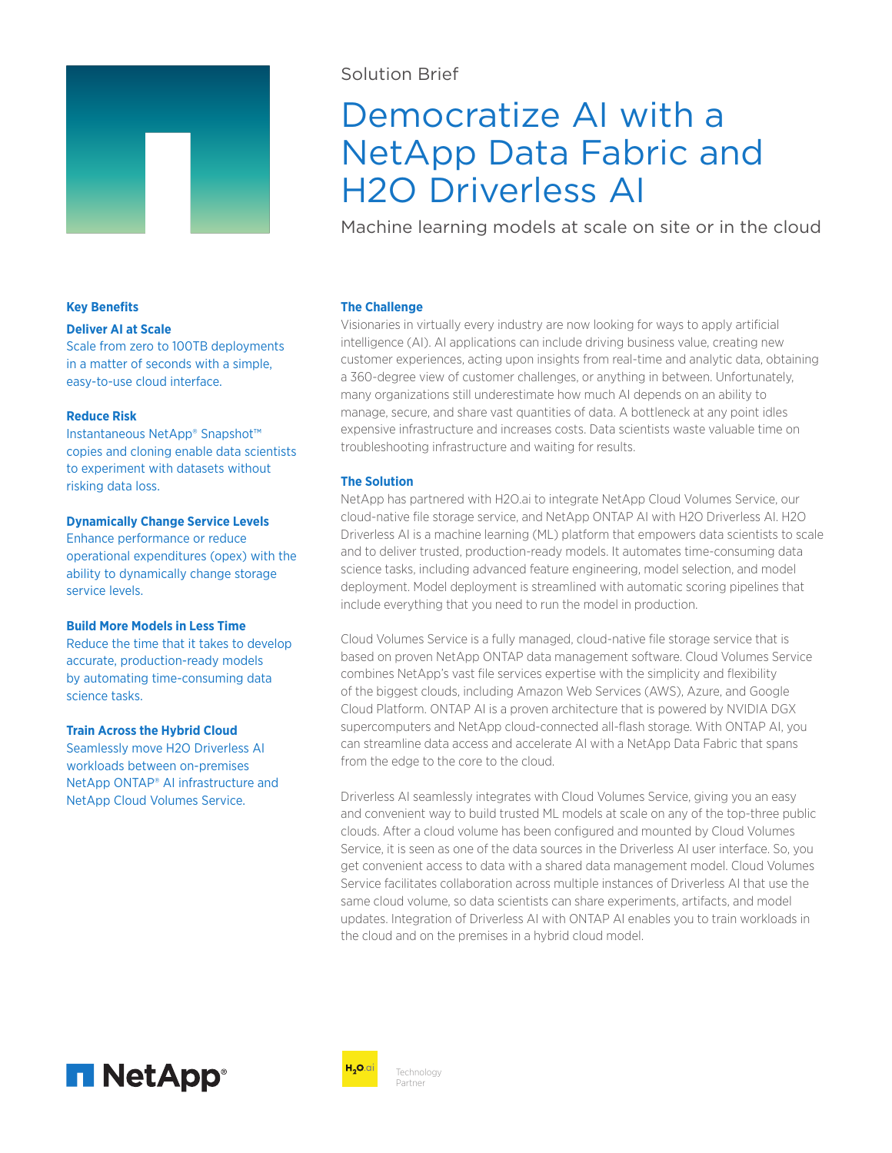

## Solution Brief

# Democratize AI with a NetApp Data Fabric and H2O Driverless AI

Machine learning models at scale on site or in the cloud

## **Key Benefits**

## **Deliver AI at Scale**

Scale from zero to 100TB deployments in a matter of seconds with a simple, easy-to-use cloud interface.

#### **Reduce Risk**

Instantaneous NetApp® Snapshot™ copies and cloning enable data scientists to experiment with datasets without risking data loss.

#### **Dynamically Change Service Levels**

Enhance performance or reduce operational expenditures (opex) with the ability to dynamically change storage service levels.

#### **Build More Models in Less Time**

Reduce the time that it takes to develop accurate, production-ready models by automating time-consuming data science tasks.

## **Train Across the Hybrid Cloud**

Seamlessly move H2O Driverless AI workloads between on-premises NetApp ONTAP® AI infrastructure and NetApp Cloud Volumes Service.

## **The Challenge**

Visionaries in virtually every industry are now looking for ways to apply artificial intelligence (AI). AI applications can include driving business value, creating new customer experiences, acting upon insights from real-time and analytic data, obtaining a 360-degree view of customer challenges, or anything in between. Unfortunately, many organizations still underestimate how much AI depends on an ability to manage, secure, and share vast quantities of data. A bottleneck at any point idles expensive infrastructure and increases costs. Data scientists waste valuable time on troubleshooting infrastructure and waiting for results.

## **The Solution**

NetApp has partnered with H2O.ai to integrate NetApp Cloud Volumes Service, our cloud-native file storage service, and NetApp ONTAP AI with H2O Driverless AI. H2O Driverless AI is a machine learning (ML) platform that empowers data scientists to scale and to deliver trusted, production-ready models. It automates time-consuming data science tasks, including advanced feature engineering, model selection, and model deployment. Model deployment is streamlined with automatic scoring pipelines that include everything that you need to run the model in production.

Cloud Volumes Service is a fully managed, cloud-native file storage service that is based on proven NetApp ONTAP data management software. Cloud Volumes Service combines NetApp's vast file services expertise with the simplicity and flexibility of the biggest clouds, including Amazon Web Services (AWS), Azure, and Google Cloud Platform. ONTAP AI is a proven architecture that is powered by NVIDIA DGX supercomputers and NetApp cloud-connected all-flash storage. With ONTAP AI, you can streamline data access and accelerate AI with a NetApp Data Fabric that spans from the edge to the core to the cloud.

Driverless AI seamlessly integrates with Cloud Volumes Service, giving you an easy and convenient way to build trusted ML models at scale on any of the top-three public clouds. After a cloud volume has been configured and mounted by Cloud Volumes Service, it is seen as one of the data sources in the Driverless AI user interface. So, you get convenient access to data with a shared data management model. Cloud Volumes Service facilitates collaboration across multiple instances of Driverless AI that use the same cloud volume, so data scientists can share experiments, artifacts, and model updates. Integration of Driverless AI with ONTAP AI enables you to train workloads in the cloud and on the premises in a hybrid cloud model.